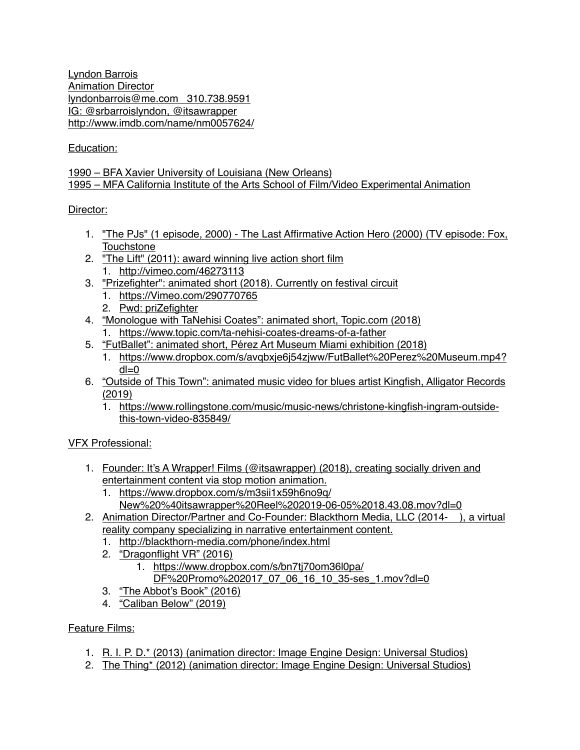Lyndon Barrois Animation Director lyndonbarrois@me.com 310.738.9591 IG: @srbarroislyndon, @itsawrapper <http://www.imdb.com/name/nm0057624/>

# Education:

#### 1990 – BFA Xavier University of Louisiana (New Orleans) 1995 – MFA California Institute of the Arts School of Film/Video Experimental Animation

#### Director:

- 1. "The PJs" (1 episode, 2000) The Last Affirmative Action Hero (2000) (TV episode: Fox, **Touchstone**
- 2. "The Lift" (2011): award winning live action short film
	- 1. <http://vimeo.com/46273113>
- 3. "Prizefighter": animated short (2018). Currently on festival circuit
	- 1. <https://Vimeo.com/290770765>
	- 2. Pwd: priZefighter
- 4. "Monologue with TaNehisi Coates": animated short, Topic.com (2018)
	- 1. <https://www.topic.com/ta-nehisi-coates-dreams-of-a-father>
- 5. "FutBallet": animated short, Pérez Art Museum Miami exhibition (2018)
	- 1. [https://www.dropbox.com/s/avqbxje6j54zjww/FutBallet%20Perez%20Museum.mp4?](https://www.dropbox.com/s/avqbxje6j54zjww/FutBallet%20Perez%20Museum.mp4?dl=0)  $dl=0$
- 6. "Outside of This Town": animated music video for blues artist Kingfish, Alligator Records (2019)
	- 1. [https://www.rollingstone.com/music/music-news/christone-kingfish-ingram-outside](https://www.rollingstone.com/music/music-news/christone-kingfish-ingram-outside-this-town-video-835849/)[this-town-video-835849/](https://www.rollingstone.com/music/music-news/christone-kingfish-ingram-outside-this-town-video-835849/)

# VFX Professional:

- 1. Founder: It's A Wrapper! Films (@itsawrapper) (2018), creating socially driven and entertainment content via stop motion animation.
	- 1. https://www.dropbox.com/s/m3sii1x59h6no9q/ New%20%40itsawrapper%20Reel%202019-06-05%2018.43.08.mov?dl=0
- 2. Animation Director/Partner and Co-Founder: Blackthorn Media, LLC (2014- ), a virtual reality company specializing in narrative entertainment content.
	- 1. <http://blackthorn-media.com/phone/index.html>
	- 2. "Dragonflight VR" (2016)
		- 1. https://www.dropbox.com/s/bn7tj70om36l0pa/
			- DF%20Promo%202017\_07\_06\_16\_10\_35-ses\_1.mov?dl=0
	- 3. "The Abbot's Book" (2016)
	- 4. "Caliban Below" (2019)

# Feature Films:

- 1. R. I. P. D.\* (2013) (animation director: Image Engine Design: Universal Studios)
- 2. The Thing\* (2012) (animation director: Image Engine Design: Universal Studios)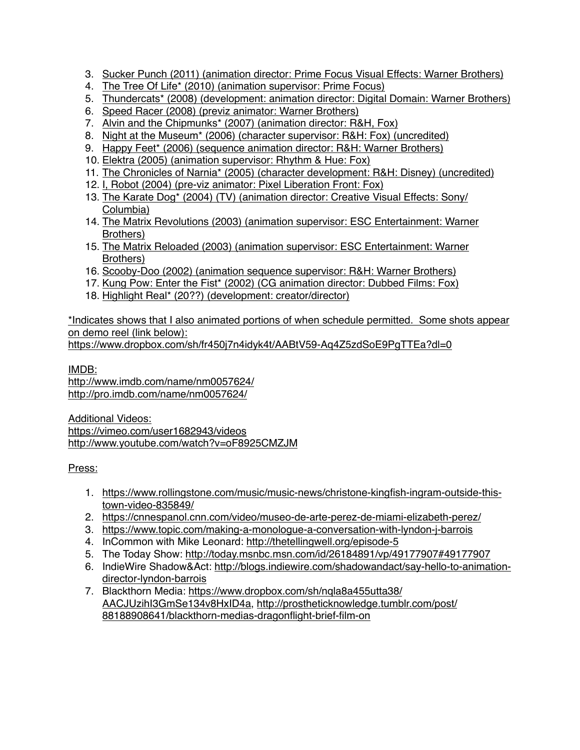- 3. Sucker Punch (2011) (animation director: Prime Focus Visual Effects: Warner Brothers)
- 4. The Tree Of Life\* (2010) (animation supervisor: Prime Focus)
- 5. Thundercats\* (2008) (development: animation director: Digital Domain: Warner Brothers)
- 6. Speed Racer (2008) (previz animator: Warner Brothers)
- 7. Alvin and the Chipmunks\* (2007) (animation director: R&H, Fox)
- 8. Night at the Museum\* (2006) (character supervisor: R&H: Fox) (uncredited)
- 9. Happy Feet\* (2006) (sequence animation director: R&H: Warner Brothers)
- 10. Elektra (2005) (animation supervisor: Rhythm & Hue: Fox)
- 11. The Chronicles of Narnia\* (2005) (character development: R&H: Disney) (uncredited)
- 12. I, Robot (2004) (pre-viz animator: Pixel Liberation Front: Fox)
- 13. The Karate Dog\* (2004) (TV) (animation director: Creative Visual Effects: Sony/ Columbia)
- 14. The Matrix Revolutions (2003) (animation supervisor: ESC Entertainment: Warner Brothers)
- 15. The Matrix Reloaded (2003) (animation supervisor: ESC Entertainment: Warner Brothers)
- 16. Scooby-Doo (2002) (animation sequence supervisor: R&H: Warner Brothers)
- 17. Kung Pow: Enter the Fist\* (2002) (CG animation director: Dubbed Films: Fox)
- 18. Highlight Real\* (20??) (development: creator/director)

\*Indicates shows that I also animated portions of when schedule permitted. Some shots appear on demo reel (link below):

<https://www.dropbox.com/sh/fr450j7n4idyk4t/AABtV59-Aq4Z5zdSoE9PgTTEa?dl=0>

IMDB:

http://www.imdb.com/name/nm0057624/ http://pro.imdb.com/name/nm0057624/

Additional Videos: https://vimeo.com/user1682943/videos <http://www.youtube.com/watch?v=oF8925CMZJM>

Press:

- 1. [https://www.rollingstone.com/music/music-news/christone-kingfish-ingram-outside-this](https://www.rollingstone.com/music/music-news/christone-kingfish-ingram-outside-this-town-video-835849/)[town-video-835849/](https://www.rollingstone.com/music/music-news/christone-kingfish-ingram-outside-this-town-video-835849/)
- 2. <https://cnnespanol.cnn.com/video/museo-de-arte-perez-de-miami-elizabeth-perez/>
- 3. <https://www.topic.com/making-a-monologue-a-conversation-with-lyndon-j-barrois>
- 4. InCommon with Mike Leonard:<http://thetellingwell.org/episode-5>
- 5. The Today Show: <http://today.msnbc.msn.com/id/26184891/vp/49177907#49177907>
- 6. IndieWire Shadow&Act: [http://blogs.indiewire.com/shadowandact/say-hello-to-animation](http://blogs.indiewire.com/shadowandact/say-hello-to-animation-director-lyndon-barrois)[director-lyndon-barrois](http://blogs.indiewire.com/shadowandact/say-hello-to-animation-director-lyndon-barrois)
- 7. [Blackthorn Media: https://www.dropbox.com/sh/nqla8a455utta38/](https://www.dropbox.com/sh/nqla8a455utta38/AACJUzihI3GmSe134v8HxID4a) [AACJUzihI3GmSe134v8HxID4a](https://www.dropbox.com/sh/nqla8a455utta38/AACJUzihI3GmSe134v8HxID4a)[, http://prostheticknowledge.tumblr.com/post/](http://prostheticknowledge.tumblr.com/post/88188908641/blackthorn-medias-dragonflight-brief-film-on) [88188908641/blackthorn-medias-dragonflight-brief-film-on](http://prostheticknowledge.tumblr.com/post/88188908641/blackthorn-medias-dragonflight-brief-film-on)